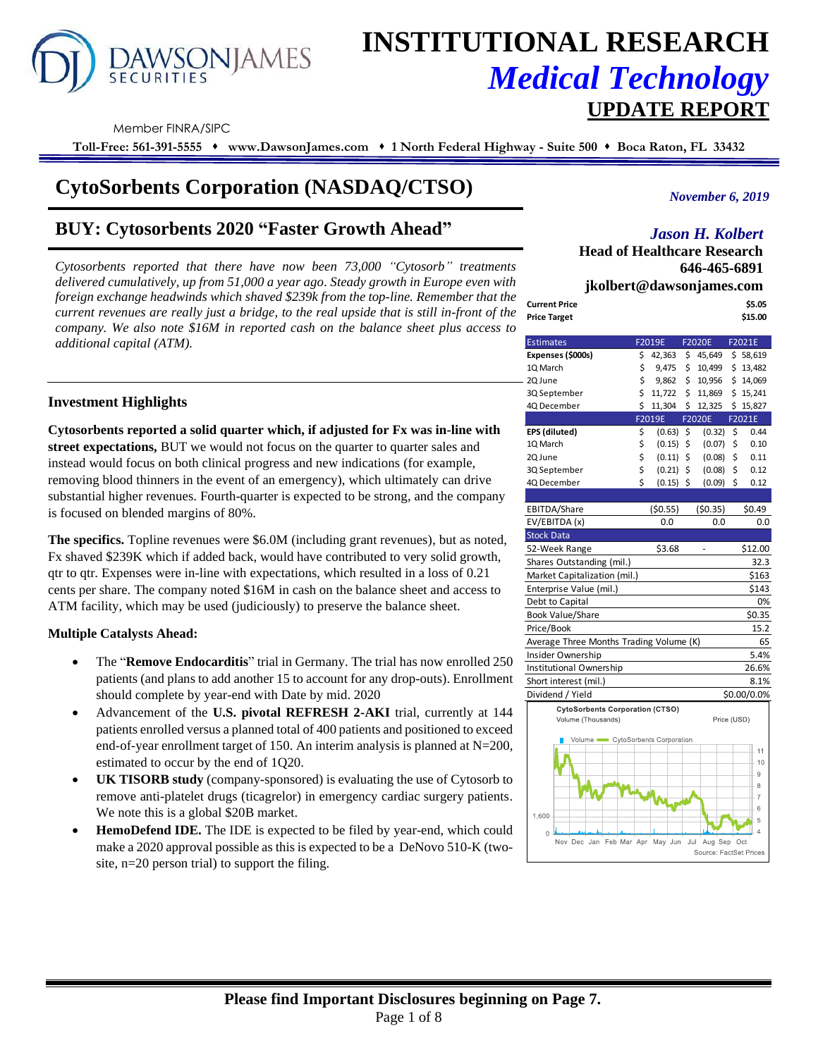# **AWSONJAMES**

## **INSTITUTIONAL RESEARCH** *Medical Technology* **UPDATE REPORT**

Member FINRA/SIPC

**Toll-Free: 561-391-5555** ⬧ **www.DawsonJames.com** ⬧ **1 North Federal Highway - Suite 500** ⬧ **Boca Raton, FL 33432**

## **CytoSorbents Corporation (NASDAQ/CTSO)**

### **BUY: Cytosorbents 2020 "Faster Growth Ahead"**

*Cytosorbents reported that there have now been 73,000 "Cytosorb" treatments delivered cumulatively, up from 51,000 a year ago. Steady growth in Europe even with foreign exchange headwinds which shaved \$239k from the top-line. Remember that the current revenues are really just a bridge, to the real upside that is still in-front of the Current Price Current revenues are really just a bridge, to the real upside that is still in-front of the* **<b>Price Target** *company. We also note \$16M in reported cash on the balance sheet plus access to additional capital (ATM).*

*November 6, 2019*

#### *Jason H. Kolbert*

**Head of Healthcare Research 646-465-6891 jkolbert@dawsonjames.com**

|               | $\mu$ , $\mu$ , $\mu$ , $\mu$ , $\mu$ , $\mu$ , $\mu$ , $\mu$ , $\mu$ , $\mu$ , $\mu$ , $\mu$ , $\mu$ , $\mu$ |
|---------------|---------------------------------------------------------------------------------------------------------------|
| Current Price | \$5.05                                                                                                        |
| Price Target  | \$15.00                                                                                                       |

| <b>Estimates</b>                        |    | F2019E  | <b>F2020E</b>                             | F2021E         |
|-----------------------------------------|----|---------|-------------------------------------------|----------------|
| Expenses (\$000s)                       | \$ | 42,363  | \$<br>45,649                              | \$58,619       |
| 1Q March                                | \$ | 9,475   | \$<br>10,499                              | \$13,482       |
| 2Q June                                 | \$ | 9,862   | \$<br>10,956                              | \$14,069       |
| 3Q September                            | \$ | 11,722  | \$<br>11,869                              | \$15,241       |
| 4Q December                             | Ś  | 11,304  | \$<br>12,325                              | \$15,827       |
|                                         |    | F2019E  | <b>F2020E</b>                             | F2021E         |
| EPS (diluted)                           | \$ | (0.63)  | \$<br>(0.32)                              | \$<br>0.44     |
| 1Q March                                | \$ | (0.15)  | \$<br>(0.07)                              | \$<br>0.10     |
| 2Q June                                 | \$ | (0.11)  | \$<br>(0.08)                              | \$<br>0.11     |
| 3Q September                            | \$ | (0.21)  | \$<br>(0.08)                              | \$<br>0.12     |
| 4Q December                             | \$ | (0.15)  | \$<br>(0.09)                              | \$<br>0.12     |
|                                         |    |         |                                           |                |
| EBITDA/Share                            |    | (50.55) | (50.35)                                   | \$0.49         |
| EV/EBITDA (x)                           |    | 0.0     | 0.0                                       | 0.0            |
| <b>Stock Data</b>                       |    |         |                                           |                |
| 52-Week Range                           |    | \$3.68  |                                           | \$12.00        |
| Shares Outstanding (mil.)               |    |         |                                           | 32.3           |
| Market Capitalization (mil.)            |    |         |                                           | \$163          |
| Enterprise Value (mil.)                 |    |         |                                           | \$143          |
| Debt to Capital                         |    |         |                                           | 0%             |
| <b>Book Value/Share</b>                 |    |         |                                           | \$0.35         |
| Price/Book                              |    |         |                                           | 15.2           |
| Average Three Months Trading Volume (K) |    |         |                                           | 65             |
| Insider Ownership                       |    |         |                                           | 5.4%           |
| Institutional Ownership                 |    |         |                                           | 26.6%          |
| Short interest (mil.)                   |    |         |                                           | 8.1%           |
| Dividend / Yield                        |    |         |                                           | \$0.00/0.0%    |
| <b>CytoSorbents Corporation (CTSO)</b>  |    |         |                                           |                |
| Volume (Thousands)                      |    |         | Price (USD)                               |                |
|                                         |    |         |                                           |                |
| Volume CytoSorbents Corporation         |    |         |                                           | 11             |
|                                         |    |         |                                           | 10             |
|                                         |    |         |                                           | 9              |
|                                         |    |         |                                           | 8              |
|                                         |    |         |                                           | $\overline{7}$ |
|                                         |    |         |                                           | 6              |
| 1,600                                   |    |         |                                           | 5              |
| 0.                                      |    |         |                                           | $\overline{4}$ |
| Nov Dec Jan Feb Mar Apr May Jun         |    |         | Jul Aug Sep Oct<br>Source: EactSot Dricor |                |

#### **Investment Highlights**

**Cytosorbents reported a solid quarter which, if adjusted for Fx was in-line with street expectations,** BUT we would not focus on the quarter to quarter sales and instead would focus on both clinical progress and new indications (for example, removing blood thinners in the event of an emergency), which ultimately can drive substantial higher revenues. Fourth-quarter is expected to be strong, and the company is focused on blended margins of 80%.

**The specifics.** Topline revenues were \$6.0M (including grant revenues), but as noted, Fx shaved \$239K which if added back, would have contributed to very solid growth, qtr to qtr. Expenses were in-line with expectations, which resulted in a loss of 0.21 cents per share. The company noted \$16M in cash on the balance sheet and access to ATM facility, which may be used (judiciously) to preserve the balance sheet.

#### **Multiple Catalysts Ahead:**

- The "**Remove Endocarditis**" trial in Germany. The trial has now enrolled 250 patients (and plans to add another 15 to account for any drop-outs). Enrollment should complete by year-end with Date by mid. 2020
- Advancement of the **U.S. pivotal REFRESH 2-AKI** trial, currently at 144 patients enrolled versus a planned total of 400 patients and positioned to exceed end-of-year enrollment target of 150. An interim analysis is planned at N=200, estimated to occur by the end of 1Q20.
- **UK TISORB study** (company-sponsored) is evaluating the use of Cytosorb to remove anti-platelet drugs (ticagrelor) in emergency cardiac surgery patients. We note this is a global \$20B market.
- **HemoDefend IDE.** The IDE is expected to be filed by year-end, which could make a 2020 approval possible as this is expected to be a DeNovo 510-K (twosite, n=20 person trial) to support the filing.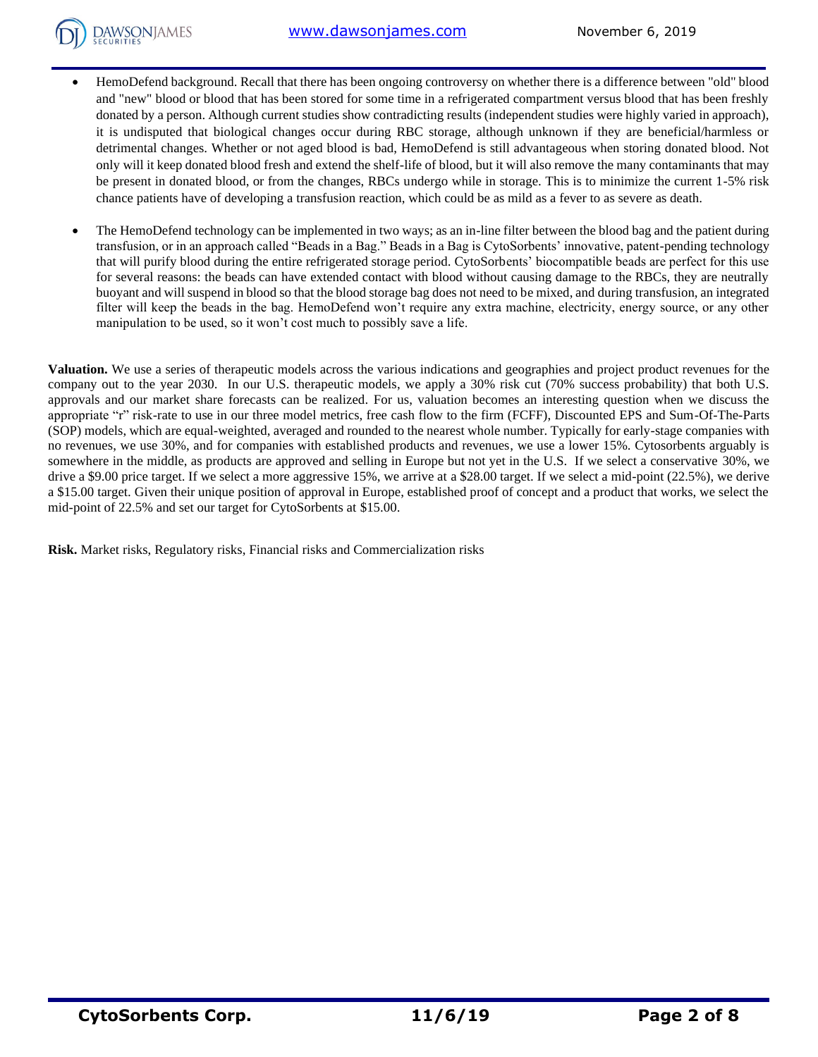#### [www.dawsonjames.com](http://www.dawsonjames.com/) November 6, 2019

- **DAWSONJAMES** 
	- HemoDefend background. Recall that there has been ongoing controversy on whether there is a difference between "old" blood and "new" blood or blood that has been stored for some time in a refrigerated compartment versus blood that has been freshly donated by a person. Although current studies show contradicting results (independent studies were highly varied in approach), it is undisputed that biological changes occur during RBC storage, although unknown if they are beneficial/harmless or detrimental changes. Whether or not aged blood is bad, HemoDefend is still advantageous when storing donated blood. Not only will it keep donated blood fresh and extend the shelf-life of blood, but it will also remove the many contaminants that may be present in donated blood, or from the changes, RBCs undergo while in storage. This is to minimize the current 1-5% risk chance patients have of developing a transfusion reaction, which could be as mild as a fever to as severe as death.
	- The HemoDefend technology can be implemented in two ways; as an in-line filter between the blood bag and the patient during transfusion, or in an approach called "Beads in a Bag." Beads in a Bag is CytoSorbents' innovative, patent-pending technology that will purify blood during the entire refrigerated storage period. CytoSorbents' biocompatible beads are perfect for this use for several reasons: the beads can have extended contact with blood without causing damage to the RBCs, they are neutrally buoyant and will suspend in blood so that the blood storage bag does not need to be mixed, and during transfusion, an integrated filter will keep the beads in the bag. HemoDefend won't require any extra machine, electricity, energy source, or any other manipulation to be used, so it won't cost much to possibly save a life.

**Valuation.** We use a series of therapeutic models across the various indications and geographies and project product revenues for the company out to the year 2030. In our U.S. therapeutic models, we apply a 30% risk cut (70% success probability) that both U.S. approvals and our market share forecasts can be realized. For us, valuation becomes an interesting question when we discuss the appropriate "r" risk-rate to use in our three model metrics, free cash flow to the firm (FCFF), Discounted EPS and Sum-Of-The-Parts (SOP) models, which are equal-weighted, averaged and rounded to the nearest whole number. Typically for early-stage companies with no revenues, we use 30%, and for companies with established products and revenues, we use a lower 15%. Cytosorbents arguably is somewhere in the middle, as products are approved and selling in Europe but not yet in the U.S. If we select a conservative 30%, we drive a \$9.00 price target. If we select a more aggressive 15%, we arrive at a \$28.00 target. If we select a mid-point (22.5%), we derive a \$15.00 target. Given their unique position of approval in Europe, established proof of concept and a product that works, we select the mid-point of 22.5% and set our target for CytoSorbents at \$15.00.

**Risk.** Market risks, Regulatory risks, Financial risks and Commercialization risks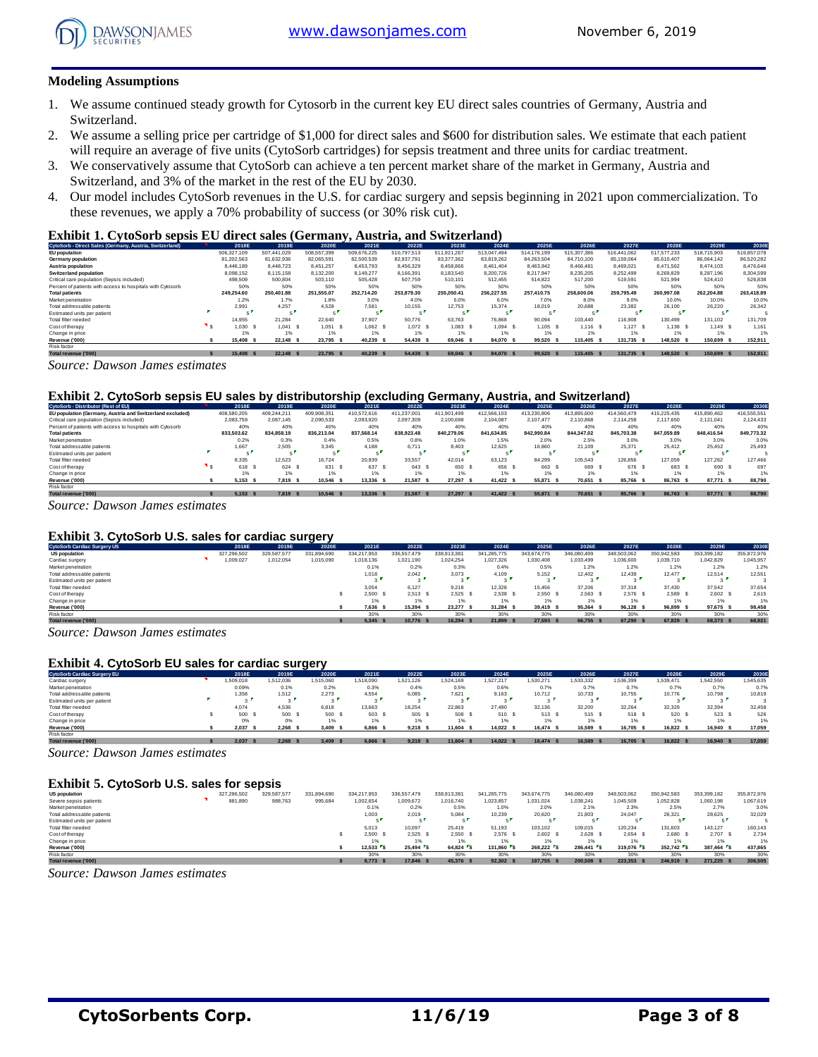

#### **Modeling Assumptions**

- 1. We assume continued steady growth for Cytosorb in the current key EU direct sales countries of Germany, Austria and Switzerland.
- 2. We assume a selling price per cartridge of \$1,000 for direct sales and \$600 for distribution sales. We estimate that each patient will require an average of five units (CytoSorb cartridges) for sepsis treatment and three units for cardiac treatment.
- 3. We conservatively assume that CytoSorb can achieve a ten percent market share of the market in Germany, Austria and Switzerland, and 3% of the market in the rest of the EU by 2030.
- 4. Our model includes CytoSorb revenues in the U.S. for cardiac surgery and sepsis beginning in 2021 upon commercialization. To these revenues, we apply a 70% probability of success (or 30% risk cut).

#### **Exhibit 1. CytoSorb sepsis EU direct sales (Germany, Austria, and Switzerland)**

| CytoSorb - Direct Sales (Germany, Austria, Switzerland)    | 2018E         | 2019E       | 2020E       | 2021E         | 2022E       | 2023E       | 2024E       | 2025E       | 2026E       | 2027E       | 2028E       | 2029E          | 2030E       |
|------------------------------------------------------------|---------------|-------------|-------------|---------------|-------------|-------------|-------------|-------------|-------------|-------------|-------------|----------------|-------------|
| <b>EU</b> population                                       | 506.327.109   | 507.441.029 | 508,557,399 | 509.676.225   | 510.797.513 | 511.921.267 | 513.047.494 | 514.176.199 | 515.307.386 | 516.441.062 | 517.577.233 | 518,715,903    | 519,857,078 |
| Germany population                                         | 81.202.563    | 81.632.936  | 82.065.591  | 82,500,539    | 82.937.791  | 83.377.362  | 83.819.262  | 84.263.504  | 84.710.100  | 85.159.064  | 85.610.407  | 86.064.142     | 86.520.282  |
| Austria population                                         | 8.446.189     | 8,448.723   | 8.451.257   | 8.453.793     | 8,456,329   | 8,458,866   | 8,461,404   | 8.463.942   | 8.466.481   | 8,469,021   | 8.471.562   | 8.474.103      | 8,476,646   |
| <b>Switzerland population</b>                              | 8.098.152     | 8,115,158   | 8,132,200   | 8.149.277     | 8,166,391   | 8,183,540   | 8,200,726   | 8.217.947   | 8.235.205   | 8.252.499   | 8,269,829   | 8.287.196      | 8.304.599   |
| Critical care population (Sepsis included)                 | 498,509       | 500,804     | 503.110     | 505.428       | 507,759     | 510,101     | 512.455     | 514.822     | 517.200     | 519.591     | 521.994     | 524.410        | 526.838     |
| Percent of patients with access to hospitals with Cytosorb | 50%           | 50%         | 50%         | 50%           | 50%         | 50%         | 50%         | 50%         | 50%         | 50%         | 50%         | 50%            | 50%         |
| <b>Total patients</b>                                      | 249.254.60    | 250,401.88  | 251.555.07  | 252.714.20    | 253.879.30  | 255.050.41  | 256.227.55  | 257,410.75  | 258,600,06  | 259.795.49  | 260.997.08  | 262.204.88     | 263,418.89  |
| Market penetration                                         | 1.2%          | 1.7%        | 1.8%        | 3.0%          | 4.0%        | 5.0%        | 6.0%        | 7.0%        | 8.0%        | 9.0%        | 10.0%       | 10.0%          | 10.0%       |
| Total addressable patients                                 | 2.991         | 4.257       | 4.528       | 7.581         | 10.155      | 12.753      | 15.374      | 18.019      | 20,688      | 23.382      | 26.100      | 26,220         | 26.342      |
| Estimated units per patient                                | $\sim$        |             |             |               | ÷.          |             |             |             |             | - 1         |             |                |             |
| Total filter needed                                        | 14.955        | 21.284      | 22.640      | 37,907        | 50.776      | 63.763      | 76,868      | 90.094      | 103,440     | 116,908     | 130.499     | 131.102        | 131.709     |
| Cost of therapy                                            | 1.030         | 1.041       | 1.051       | 1.062 S       | 1.072 \$    | 1.083       | 1.094 S     | 1.105 S     | $1.116$ S   | $1,127$ \$  | 1.138 S     | 1.149 S        | 1.161       |
| Change in price                                            | 1%            | 1%          | 1%          | 1%            | 1%          | 1%          |             | 1%          | 1%          | 1%          | 1%          | 1%             | 1%          |
| Revenue ('000)                                             | 15,408<br>- 5 | 22.148 \$   | 23.795      | 40.239<br>- 5 | 54,439      | 69,046      | 84.070 \$   | 99,520      | 115.405     | 131.735     | 148,520 \$  | 150,699<br>- 5 | 152.911     |
| Risk factor                                                |               |             |             |               |             |             |             |             |             |             |             |                |             |
| Total revenue ('000)                                       | 15,408 S      | 22.148 \$   | 23.795 \$   | 40.239        | 54,439      | 69.046 \$   | 84.070 \$   | 99.520 S    | 115,405 \$  | 131.735 \$  | 148,520 S   | 150,699        | 152.911     |

*Source: Dawson James estimates*

#### **Exhibit 2. CytoSorb sepsis EU sales by distributorship (excluding Germany, Austria, and Switzerland)**

| .<br>----                                                  |             |             |             |             |             |             |             |             |             |             |             |               |             |
|------------------------------------------------------------|-------------|-------------|-------------|-------------|-------------|-------------|-------------|-------------|-------------|-------------|-------------|---------------|-------------|
| CytoSorb - Distributor (Rest of EU)                        | 2018E       | 2019E       | 2020E       | 2021E       | 2022E       | 2023E       | 2024E       | 2025E       | 2026E       | 2027E       | 2028E       | 2029E         | 2030E       |
| EU population (Germany, Austria and Switzerland excluded)  | 408.580.205 | 409.244.211 | 409.908.351 | 410.572.616 | 411.237.001 | 411.901.499 | 412.566.103 | 413.230.806 | 413,895,600 | 414.560.479 | 415.225.435 | 415.890.462   | 416.555.551 |
| Critical care population (Sepsis included)                 | 2.083.759   | 2.087.145   | 2.090.533   | 2.093.920   | 2.097.309   | 2,100,698   | 2.104.087   | 2.107.477   | 2.110.868   | 2.114.258   | 2.117.650   | 2.121.041     | 2,124,433   |
| Percent of patients with access to hospitals with Cytosorb | 40%         | 40%         | 40%         | 40%         | 40%         | 40%         | 40%         | 40%         | 40%         | 40%         | 40%         | 40%           | 40%         |
| <b>Total patients</b>                                      | 833.503.62  | 834.858.19  | 836.213.04  | 837.568.14  | 838,923,48  | 840.279.06  | 841,634,85  | 842,990.84  | 844.347.02  | 845.703.38  | 847.059.89  | 848,416,54    | 849.773.32  |
| Market penetration                                         | 0.2%        | 0.3%        | 0.4%        | 0.5%        | 0.8%        | 1.0%        | 1.5%        | 2.0%        | 2.5%        | 3.0%        | 3.0%        | 3.0%          | 3.0%        |
| Total addressable patients                                 | 1.667       | 2.505       | 3.345       | 4.188       | 6.711       | 8.403       | 12.625      | 16,860      | 21.109      | 25.371      | 25.412      | 25.452        | 25.493      |
| Estimated units per patient                                | - 5         |             |             |             |             |             |             |             |             |             |             |               |             |
| Total filter needed                                        | 8.335       | 12.523      | 16.724      | 20.939      | 33.557      | 42.014      | 63.123      | 84.299      | 105,543     | 126,856     | 127.059     | 127.262       | 127.466     |
| Cost of therapy                                            | 618         | 624         | 631 S       | 637         | 643         | 650         | 656         | 663 S       | 669 S       | 676 S       | 683         | 690           | 697         |
| Change in price                                            | 1%          | 1%          | 1%          | 1%          | 1%          | 1%          |             | 1%          | 1%          | 1%          | 1%          | 1%            | 1%          |
| Revenue ('000)                                             | 5.153       | 7.819 \$    | 10.546      | 13.336      | 21.587      | 27.297      | 41.422 \$   | 55,871      | 70.651      | 85.766      | 86.763 \$   | 87.771<br>- 5 | 88,790      |
| Risk factor                                                |             |             |             |             |             |             |             |             |             |             |             |               |             |
| Total revenue ('000)                                       | 5.153       | $7.819$ \$  | 10.546 \$   | 13,336      | 21,587      | 27.297 \$   | 41.422 \$   | 55,871      | 70.651      | 85.766 \$   | 86.763 S    | 87,771        | 88,790      |

*Source: Dawson James estimates*

#### **Exhibit 3. CytoSorb U.S. sales for cardiac surgery**

| Exhibit 3. CytoSorb U.S. sales for cardiac surgery |  |             |             |             |             |             |             |             |             |             |             |             |             |             |
|----------------------------------------------------|--|-------------|-------------|-------------|-------------|-------------|-------------|-------------|-------------|-------------|-------------|-------------|-------------|-------------|
| <b>CytoSorb Cardiac Surgery US</b>                 |  | 2018E       | 2019E       | 2020E       | 2021E       | 2022E       | 2023E       | 2024E       | 2025E       | 2026E       | 2027E       | 2028E       | 2029E       | 2030E       |
| <b>US population</b>                               |  | 327.296.502 | 329.587.577 | 331.894.690 | 334.217.953 | 336,557,479 | 338.913.381 | 341.285.775 | 343.674.775 | 346,080,499 | 348.503.062 | 350.942.583 | 353.399.182 | 355,872,976 |
| Cardiac surgery                                    |  | ,009,027    | 1,012,054   | 1.015.090   | 1.018.136   | 1.021.190   | 1.024.254   | 1,027,326   | 1.030.408   | 1.033.499   | 1,036,600   | 1,039,710   | 1.042.829   | 1.045.957   |
| Market penetration                                 |  |             |             |             | 0.1%        | 0.2%        | 0.3%        | 0.4%        | 0.5%        | 1.2%        | 1.2%        | 1.2%        | 1.2%        | 1.2%        |
| Total addressable patients                         |  |             |             |             | 1.018       | 2.042       | 3.073       | 4.109       | 5.152       | 12,402      | 12.439      | 12.477      | 12.514      | 12.551      |
| Estimated units per patient                        |  |             |             |             |             | . .         |             | $\sim$      |             |             | $\sim$      |             | $\sim$      |             |
| Total filter needed                                |  |             |             |             | 3.054       | 6.127       | 9.218       | 12.328      | 15,456      | 37,206      | 37,318      | 37,430      | 37.542      | 37.654      |
| Cost of therapy                                    |  |             |             |             | 2,500       | 2.513       | 2.525       | 2.538       | 2.550 S     | 2.563S      | 2.576 S     | 2.589 S     | 2.602 S     | 2.615       |
| Change in price                                    |  |             |             |             | 1%          | 1%          | 1%          |             | 1%          | 1%          | 1%          | 1%          | 1%          | 1%          |
| Revenue ('000)                                     |  |             |             |             | 7.636 S     | 15,394      | 23,277 \$   | 31.284 S    | 39.419 S    | 95.364      | 96.128 \$   | 96.899 \$   | 97.675 \$   | 98,458      |
| Risk factor                                        |  |             |             |             | 30%         | 30%         | 30%         | 30%         | 30%         | 30%         | 30%         | 30%         | 30%         | 30%         |
| Total revenue ('000)                               |  |             |             |             | 5.345 S     | 10.776 \$   | 16.294      | 21,899      | 27,593 S    | 66,755      | 67.290 \$   | 67.829      | 68,373 \$   | 68,921      |

*Source: Dawson James estimates*

#### **Exhibit 4. CytoSorb EU sales for cardiac surgery**

| <b>Exhibit 4. CytoSorb EU sales for cardiac surgery</b> |          |           |           |           |           |               |           |          |           |           |           |           |           |
|---------------------------------------------------------|----------|-----------|-----------|-----------|-----------|---------------|-----------|----------|-----------|-----------|-----------|-----------|-----------|
| <b>CytoSorb Cardiac Surgery EU</b>                      | 2018E    | 2019E     | 2020E     | 2021E     | 2022E     | 2023E         | 2024E     | 2025E    | 2026E     | 2027E     | 2028E     | 2029E     | 2030E     |
| Cardiac surgery                                         | .509.018 | 1.512.036 | 1.515.060 | 1.518.090 | 1,521,126 | 1,524,169     | 1.527.217 | .530.271 | 1,533,332 | 536,399   | 1.539.471 | 1.542.550 | 1.545.635 |
| Market penetration                                      | 0.09%    | 0.1%      | 0.2%      | 0.3%      | 0.4%      | 0.5%          | 0.6%      | 0.7%     | 0.7%      | 0.7%      | 0.7%      | 0.7%      | 0.7%      |
| Total addressable patients                              | 1.358    | 1,512     | 2.273     | 4.554     | 6.085     | 7.621         | 9.163     | 10.712   | 10.733    | 10.755    | 10.776    | 10.798    | 10,819    |
| Estimated units per patient                             | $\sim$ 1 | $\sim$    |           |           | $\sim$    | $\sim$ $\sim$ | $\sim$    |          | $\sim$    | $\sim$    |           | $\sim$    |           |
| Total filter needed                                     | 4.074    | 4.536     | 6,818     | 13.663    | 18.254    | 22.863        | 27,490    | 32.136   | 32.200    | 32.264    | 32.329    | 32.394    | 32.458    |
| Cost of therapy                                         | 500 \$   | 500 \$    | 500 S     | 503 S     | 505 \$    | 508 \$        | 510 S     | 513 S    | 515 \$    | 518 S     | 520       | 523 \$    | 526       |
| Change in price                                         | 0%       | 0%        | 1%        | 1%        | 1%        | 1%            |           | 1%       | 1%        | 1%        | 1%        | 1%        | 1%        |
| Revenue ('000)                                          | 2.037    | 2.268 S   | 3.409     | 6.866 S   | 9.218     | 11.604 \$     | 14.022 \$ | 16.474 S | 16.589 \$ | 16.705 \$ | 16.822 S  | 16,940 \$ | 17,059    |
| Risk factor                                             |          |           |           |           |           |               |           |          |           |           |           |           |           |
| Total revenue ('000)                                    | 2.037    | 2.268 S   | 3,409     | 6,866     | 9.218     | 11,604 \$     | 14.022 \$ | 16,474 S | 16,589    | 16,705 \$ | 16.822 \$ | 16,940 \$ | 17,059    |

*Source: Dawson James estimates*

#### **Exhibit 5. CytoSorb U.S. sales for sepsis**

| <b>Exhibit 5. CytoSorb U.S. sales for sepsis</b> |             |             |             |             |             |             |             |             |             |             |                      |             |             |
|--------------------------------------------------|-------------|-------------|-------------|-------------|-------------|-------------|-------------|-------------|-------------|-------------|----------------------|-------------|-------------|
| <b>US population</b>                             | 327.296.502 | 329,587,577 | 331.894.690 | 334.217.953 | 336.557.479 | 338.913.381 | 341.285.775 | 343.674.775 | 346.080.499 | 348,503,062 | 350.942.583          | 353.399.182 | 355,872,976 |
| Severe sepsis patients                           | 981,890     | 988,763     | 995,684     | 1.002.654   | 1.009.672   | 1,016,740   | 1,023,857   | 1.031.024   | 1.038.241   | 1,045,509   | 1,052,828            | 1,060,198   | 1.067.619   |
| Market penetration                               |             |             |             | 0.1%        | 0.2%        | 0.5%        | 1.0%        | 2.0%        | 2.1%        | 2.3%        | 2.5%                 | 2.7%        | 3.0%        |
| Total addressable patients                       |             |             |             | 1.003       | 2.019       | 5,084       | 10,239      | 20,620      | 21.803      | 24,047      | 26,321               | 28,625      | 32,029      |
| Estimated units per patient                      |             |             |             |             | c.          |             |             |             |             | п.          |                      |             |             |
| Total filter needed                              |             |             |             | 5.013       | 10.097      | 25.419      | 51.193      | 103.102     | 109.015     | 120.234     | 131.603              | 143.127     | 160.143     |
| Cost of therapy                                  |             |             |             | 2.500       | 2.525       | 2.550       | 2.576 S     | 2.602 S     | 2.628 S     | 2.654       | 2.680 S              | 2.707 \$    | 2.734       |
| Change in price                                  |             |             |             |             | 1%          | 1%          |             | 1%          | 1%          | 1%          | 1%                   |             | 1%          |
| Revenue ('000)                                   |             |             |             | 12.533 S    | $25.494$ S  | 64.824 S    | 131.860 \$  | 268.222 S   | 286.441 S   | 319,076 S   | 352.742              | 387.464 S   | 437,865     |
| Risk factor                                      |             |             |             | 30%         | 30%         | 30%         | 30%         | 30%         | 30%         | 30%         | 30%                  | 30%         | 30%         |
| Total revenue ('000)                             |             |             |             | 8.773 \$    | 17,846 \$   | 45.376 \$   | 92.302      | 187,755 \$  | 200,508 \$  | 223.353 \$  | 246,919 <sub>S</sub> | 271.225 \$  | 306.505     |

*Source: Dawson James estimates*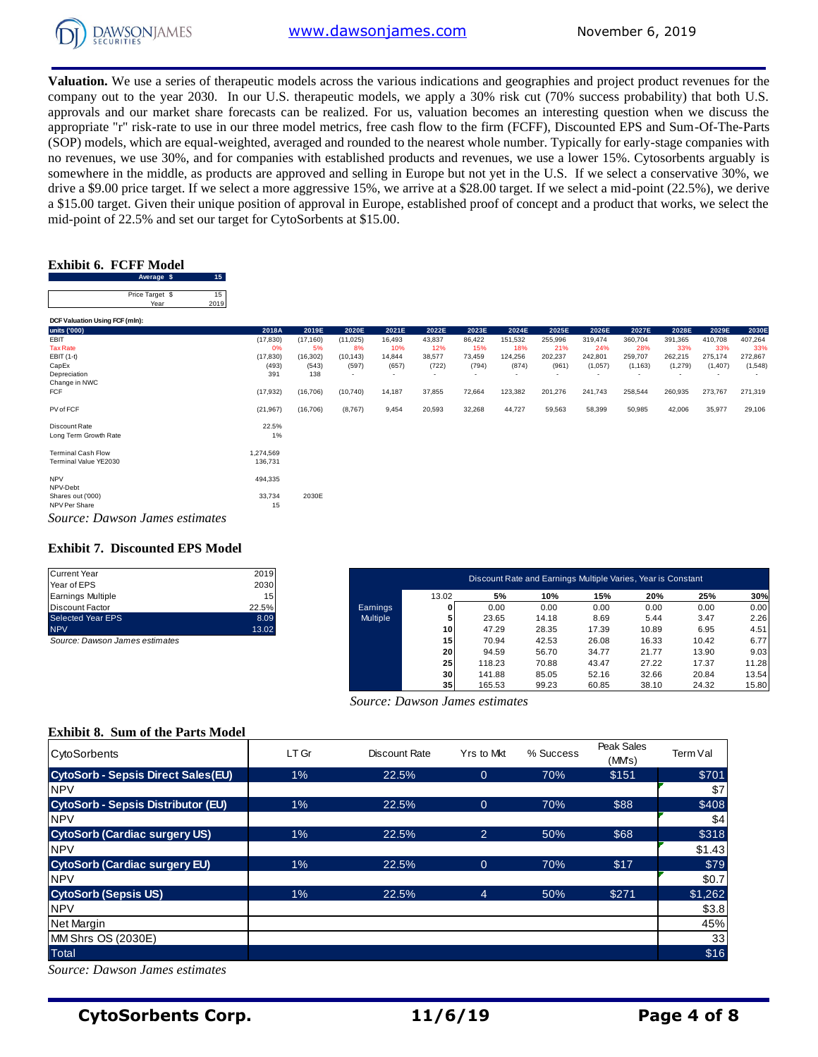

**Valuation.** We use a series of therapeutic models across the various indications and geographies and project product revenues for the company out to the year 2030. In our U.S. therapeutic models, we apply a 30% risk cut (70% success probability) that both U.S. approvals and our market share forecasts can be realized. For us, valuation becomes an interesting question when we discuss the appropriate "r" risk-rate to use in our three model metrics, free cash flow to the firm (FCFF), Discounted EPS and Sum-Of-The-Parts (SOP) models, which are equal-weighted, averaged and rounded to the nearest whole number. Typically for early-stage companies with no revenues, we use 30%, and for companies with established products and revenues, we use a lower 15%. Cytosorbents arguably is somewhere in the middle, as products are approved and selling in Europe but not yet in the U.S. If we select a conservative 30%, we drive a \$9.00 price target. If we select a more aggressive 15%, we arrive at a \$28.00 target. If we select a mid-point (22.5%), we derive a \$15.00 target. Given their unique position of approval in Europe, established proof of concept and a product that works, we select the a \$15.00 dage. Set our target for CytoSorbents at \$15.00.<br> **Exhibit 6. FCFF Model**<br>
Average **\$** 15<sup>15</sup>

## **Exhibit 6. FCFF Model**

| Exhibit 6.  FCFF Model  |            |
|-------------------------|------------|
| Average \$              | 15         |
| Price Target \$<br>Year | 15<br>2019 |

| Average $\phi$<br>ാ            |           |           |           |                          |                          |        |                          |         |         |          |         |                          |         |
|--------------------------------|-----------|-----------|-----------|--------------------------|--------------------------|--------|--------------------------|---------|---------|----------|---------|--------------------------|---------|
| Price Target \$<br>15          |           |           |           |                          |                          |        |                          |         |         |          |         |                          |         |
| 2019<br>Year                   |           |           |           |                          |                          |        |                          |         |         |          |         |                          |         |
| DCF Valuation Using FCF (mln): |           |           |           |                          |                          |        |                          |         |         |          |         |                          |         |
| units ('000)                   | 2018A     | 2019E     | 2020E     | 2021E                    | 2022E                    | 2023E  | 2024E                    | 2025E   | 2026E   | 2027E    | 2028E   | 2029E                    | 2030E   |
| EBIT                           | (17, 830) | (17, 160) | (11, 025) | 16,493                   | 43,837                   | 86,422 | 151,532                  | 255,996 | 319,474 | 360,704  | 391,365 | 410,708                  | 407,264 |
| <b>Tax Rate</b>                | 0%        | 5%        | 8%        | 10%                      | 12%                      | 15%    | 18%                      | 21%     | 24%     | 28%      | 33%     | 33%                      | 33%     |
| EBIT (1-t)                     | (17, 830) | (16, 302) | (10, 143) | 14,844                   | 38,577                   | 73,459 | 124,256                  | 202,237 | 242,801 | 259,707  | 262,215 | 275,174                  | 272,867 |
| CapEx                          | (493)     | (543)     | (597)     | (657)                    | (722)                    | (794)  | (874)                    | (961)   | (1,057) | (1, 163) | (1,279) | (1, 407)                 | (1,548) |
| Depreciation                   | 391       | 138       | $\sim$    | $\overline{\phantom{a}}$ | $\overline{\phantom{a}}$ | ٠      | $\overline{\phantom{a}}$ | ٠       | ٠       |          |         | $\overline{\phantom{a}}$ |         |
| Change in NWC                  |           |           |           |                          |                          |        |                          |         |         |          |         |                          |         |
| FCF                            | (17, 932) | (16, 706) | (10, 740) | 14,187                   | 37,855                   | 72,664 | 123,382                  | 201,276 | 241,743 | 258,544  | 260,935 | 273,767                  | 271,319 |
| PV of FCF                      | (21, 967) | (16, 706) | (8,767)   | 9,454                    | 20,593                   | 32,268 | 44,727                   | 59,563  | 58,399  | 50,985   | 42,006  | 35,977                   | 29,106  |
| Discount Rate                  | 22.5%     |           |           |                          |                          |        |                          |         |         |          |         |                          |         |
| Long Term Growth Rate          | $1\%$     |           |           |                          |                          |        |                          |         |         |          |         |                          |         |
| <b>Terminal Cash Flow</b>      | 1.274.569 |           |           |                          |                          |        |                          |         |         |          |         |                          |         |
| Terminal Value YE2030          | 136,731   |           |           |                          |                          |        |                          |         |         |          |         |                          |         |
| <b>NPV</b>                     | 494,335   |           |           |                          |                          |        |                          |         |         |          |         |                          |         |
| NPV-Debt                       |           |           |           |                          |                          |        |                          |         |         |          |         |                          |         |
| Shares out ('000)              | 33,734    | 2030E     |           |                          |                          |        |                          |         |         |          |         |                          |         |
| NPV Per Share                  | 15        |           |           |                          |                          |        |                          |         |         |          |         |                          |         |
| Source: Dawson James estimates |           |           |           |                          |                          |        |                          |         |         |          |         |                          |         |

#### **Exhibit 7. Discounted EPS Model**

| <b>Current Year</b>      | 2019  |
|--------------------------|-------|
| Year of EPS              | 2030  |
| <b>Earnings Multiple</b> | 15    |
| Discount Factor          | 22.5% |
| <b>Selected Year EPS</b> | 8.09  |
| <b>NPV</b>               | 13.02 |
|                          |       |

| Current Year                   | 2019  |                 |                 | Discount Rate and Earnings Multiple Varies, Year is Constant |       |       |       |       |       |
|--------------------------------|-------|-----------------|-----------------|--------------------------------------------------------------|-------|-------|-------|-------|-------|
| Year of EPS                    | 2030  |                 |                 |                                                              |       |       |       |       |       |
| Earnings Multiple              | 15    |                 | 13.02           | 5%                                                           | 10%   | 15%   | 20%   | 25%   | 30%   |
| Discount Factor                | 22.5% | Earnings        |                 | 0.00                                                         | 0.00  | 0.00  | 0.00  | 0.00  | 0.00  |
| Selected Year EPS              | 8.09  | <b>Multiple</b> |                 | 23.65                                                        | 14.18 | 8.69  | 5.44  | 3.47  | 2.26  |
| <b>NPV</b>                     | 13.02 |                 | 10 <sup>1</sup> | 47.29                                                        | 28.35 | 17.39 | 10.89 | 6.95  | 4.51  |
| Source: Dawson James estimates |       |                 | 15              | 70.94                                                        | 42.53 | 26.08 | 16.33 | 10.42 | 6.77  |
|                                |       |                 | 20              | 94.59                                                        | 56.70 | 34.77 | 21.77 | 13.90 | 9.03  |
|                                |       |                 | 25              | 118.23                                                       | 70.88 | 43.47 | 27.22 | 17.37 | 11.28 |
|                                |       |                 | 30              | 141.88                                                       | 85.05 | 52.16 | 32.66 | 20.84 | 13.54 |
|                                |       |                 | 35              | 165.53                                                       | 99.23 | 60.85 | 38.10 | 24.32 | 15.80 |

 *Source: Dawson James estimates*

#### **Exhibit 8. Sum of the Parts Model**

| <b>CytoSorbents</b>                       | LT Gr | Discount Rate | Yrs to Mkt     | % Success | Peak Sales<br>(MMs) | Term Val |
|-------------------------------------------|-------|---------------|----------------|-----------|---------------------|----------|
| <b>CytoSorb - Sepsis Direct Sales(EU)</b> | 1%    | 22.5%         | $\overline{0}$ | 70%       | \$151               | \$701    |
| <b>NPV</b>                                |       |               |                |           |                     | \$7      |
| <b>CytoSorb - Sepsis Distributor (EU)</b> | 1%    | 22.5%         | $\mathbf{0}$   | 70%       | \$88                | \$408    |
| <b>NPV</b>                                |       |               |                |           |                     | \$4      |
| <b>CytoSorb (Cardiac surgery US)</b>      | $1\%$ | 22.5%         | $\overline{2}$ | 50%       | \$68                | \$318    |
| <b>NPV</b>                                |       |               |                |           |                     | \$1.43   |
| <b>CytoSorb (Cardiac surgery EU)</b>      | 1%    | 22.5%         | $\overline{0}$ | 70%       | \$17                | \$79     |
| <b>NPV</b>                                |       |               |                |           |                     | \$0.7    |
| <b>CytoSorb (Sepsis US)</b>               | $1\%$ | 22.5%         | $\overline{4}$ | 50%       | \$271               | \$1,262  |
| <b>NPV</b>                                |       |               |                |           |                     | \$3.8    |
| <b>Net Margin</b>                         |       |               |                |           |                     | 45%      |
| MM Shrs OS (2030E)                        |       |               |                |           |                     | 33       |
| <b>Total</b>                              |       |               |                |           |                     | \$16     |

*Source: Dawson James estimates*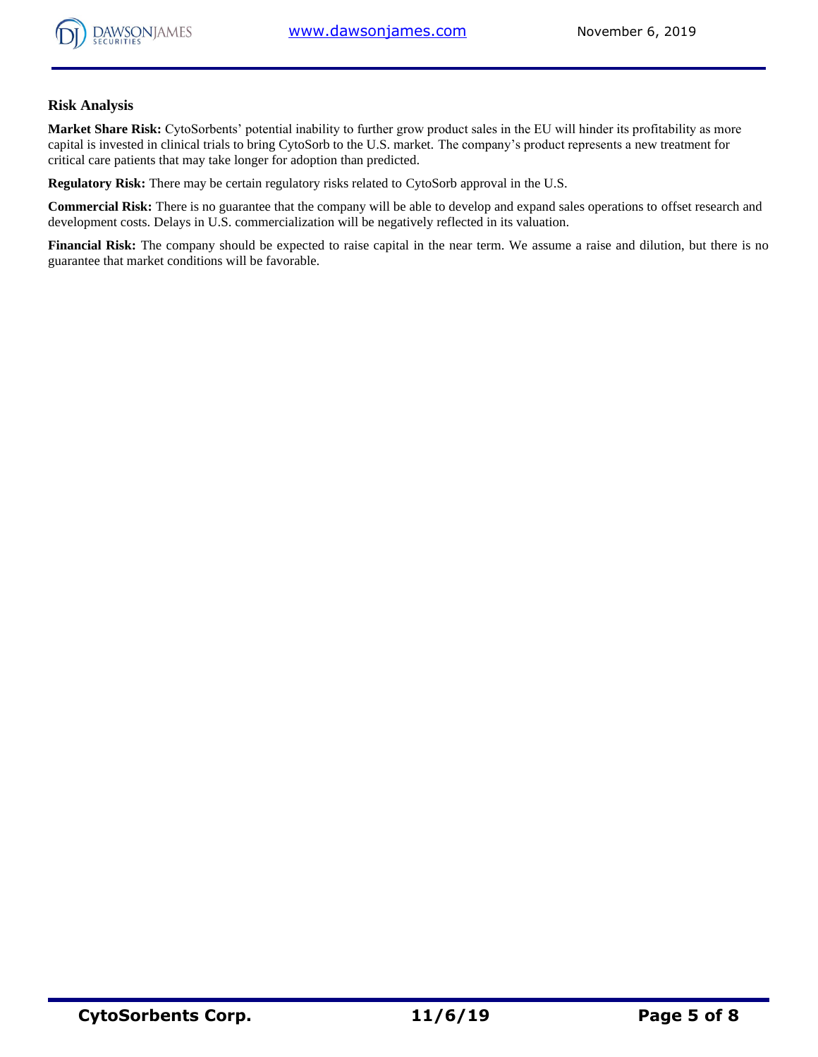

#### **Risk Analysis**

**Market Share Risk:** CytoSorbents' potential inability to further grow product sales in the EU will hinder its profitability as more capital is invested in clinical trials to bring CytoSorb to the U.S. market. The company's product represents a new treatment for critical care patients that may take longer for adoption than predicted.

**Regulatory Risk:** There may be certain regulatory risks related to CytoSorb approval in the U.S.

**Commercial Risk:** There is no guarantee that the company will be able to develop and expand sales operations to offset research and development costs. Delays in U.S. commercialization will be negatively reflected in its valuation.

**Financial Risk:** The company should be expected to raise capital in the near term. We assume a raise and dilution, but there is no guarantee that market conditions will be favorable.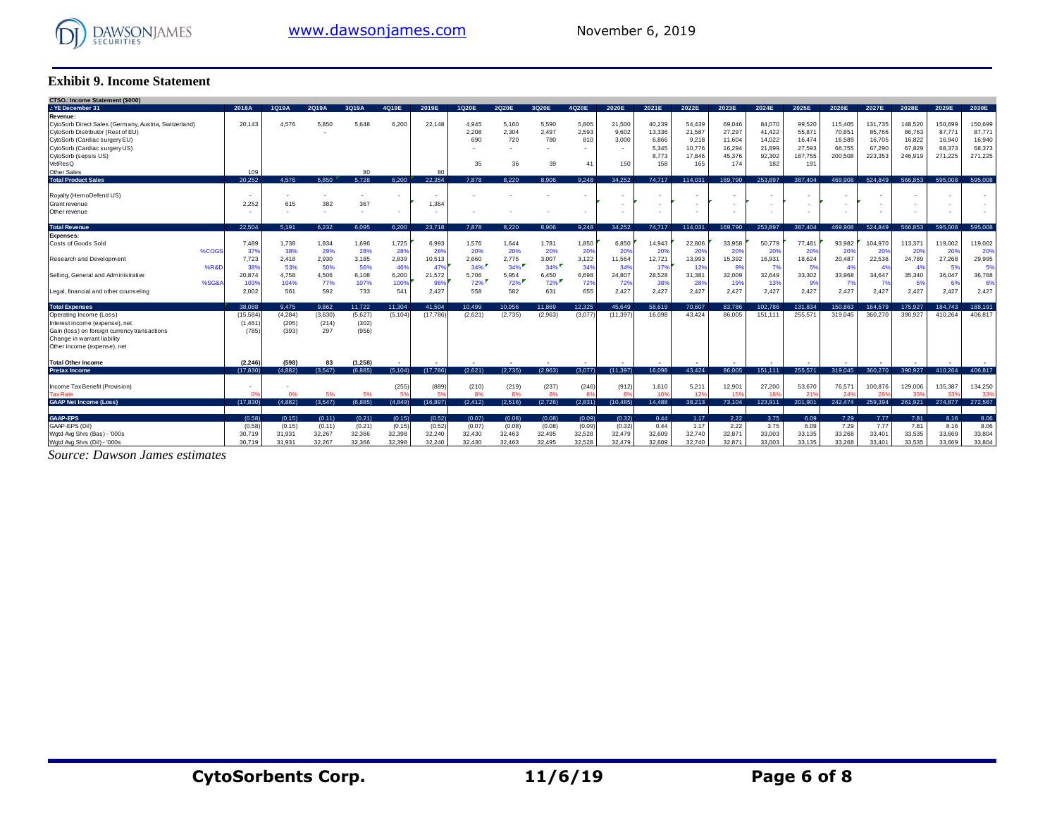

#### **Exhibit 9. Income Statement**

| <b>Exhibit 9. Income Statement</b>                    |                          |              |              |              |              |              |              |              |              |                          |              |                |                  |                  |                  |                   |                   |                   |                   |                   |                  |
|-------------------------------------------------------|--------------------------|--------------|--------------|--------------|--------------|--------------|--------------|--------------|--------------|--------------------------|--------------|----------------|------------------|------------------|------------------|-------------------|-------------------|-------------------|-------------------|-------------------|------------------|
| <b>CTSO.: Income Statement (\$000)</b>                |                          |              |              |              |              |              |              |              |              |                          |              |                |                  |                  |                  |                   |                   |                   |                   |                   |                  |
| .: YE December 31                                     | 2018A                    | 1Q19A        | 2019A        | 3Q19A        | 4Q19E        | 2019E        | 1Q20E        | 2020E        | 3Q20E        | 4020E                    | 2020E        | 2021E          | 2022E            | 2023E            | 2024E            | 2025E             | 2026E             | 2027E             | 2028E             | 2029E             | 2030E            |
| Revenue:                                              |                          |              |              |              |              |              |              |              |              |                          |              |                |                  |                  |                  |                   |                   |                   |                   |                   |                  |
| CytoSorb Direct Sales (Germany, Austria, Switzerland) | 20.143                   | 4.576        | 5.850        | 5.648        | 6.200        | 22.148       | 4.945        | 5.160        | 5.590        | 5.805                    | 21.500       | 40,239         | 54.439           | 69.046           | 84,070           | 99.520            | 115.405           | 131.735           | 148,520           | 150.699           | 150.699          |
| CytoSorb Distributor (Rest of EU)                     |                          |              |              |              |              |              | 2,208        | 2,304        | 2,497        | 2,593                    | 9.602        | 13,336         | 21,587           | 27,297           | 41,422           | 55,87             | 70,651            | 85,766            | 86,763            | 87.77'            | 87,771           |
| CytoSorb (Cardiac surgery EU)                         |                          |              |              |              |              |              | 690          | 720          | 780          | 810<br>$\sim$            | 3.000        | 6,866          | 9,218            | 11,604           | 14,022           | 16,474            | 16,589            | 16,705            | 16,822            | 16,940            | 16,940<br>68,373 |
| CytoSorb (Cardiac surgery US)<br>CytoSorb (sepsis US) |                          |              |              |              |              |              |              |              |              |                          |              | 5,345<br>8,773 | 10,776<br>17.846 | 16,294<br>45,376 | 21,899<br>92,302 | 27,593<br>187,755 | 66,755<br>200,508 | 67,290<br>223,353 | 67.829<br>246,919 | 68,373<br>271,225 | 271,225          |
| VetResQ                                               |                          |              |              |              |              |              | 35           | 36           | 39           | 41                       | 150          | 158            | 165              | 174              | 182              | 191               |                   |                   |                   |                   |                  |
| Other Sales                                           | 109                      |              |              | 80           |              | 80           |              |              |              |                          |              |                |                  |                  |                  |                   |                   |                   |                   |                   |                  |
| <b>Total Product Sales</b>                            | 20.252                   | 4.576        | 5.850        | 5.728        | 6.200        | 22,354       | 7.878        | 8.220        | 8.906        | 9.248                    | 34.252       | 74.717         | 114.031          | 169.790          | 253,897          | 387.404           | 469.908           | 524.849           | 566,853           | 595.008           | 595,008          |
|                                                       |                          |              |              |              |              |              |              |              |              |                          |              |                |                  |                  |                  |                   |                   |                   |                   |                   |                  |
| Royalty (HemoDefend US)                               |                          |              |              |              |              | . .          |              |              |              | $\overline{\phantom{a}}$ |              |                |                  | ٠                |                  |                   |                   |                   |                   |                   |                  |
| Grant revenue                                         | 2.252                    | 615          | 382          | 367          |              | 1.364        |              |              |              |                          |              |                |                  |                  |                  |                   |                   |                   |                   |                   |                  |
| Other revenue                                         |                          |              |              |              |              |              |              |              |              |                          |              |                |                  | ٠                |                  |                   |                   |                   |                   |                   |                  |
| <b>Total Revenue</b>                                  | 22.504                   | 5.191        | 6.232        | 6.095        | 6.200        | 23,718       | 7.878        | 8.220        | 8.906        | 9,248                    | 34.252       | 74.717         | 114.031          | 169.790          | 253.897          | 387.404           | 469.908           | 524.849           | 566,853           | 595,008           | 595,008          |
| <b>Expenses:</b>                                      |                          |              |              |              |              |              |              |              |              |                          |              |                |                  |                  |                  |                   |                   |                   |                   |                   |                  |
| Costs of Goods Sold<br>%COG                           | 7,489<br>37 <sup>6</sup> | 1,738<br>38% | 1,834<br>29% | 1,696<br>28% | 1,725<br>28% | 6,993<br>28% | 1,576<br>20% | 1,644<br>20% | 1,781<br>20% | 1,850<br>20%             | 6,850<br>20% | 14,943<br>20%  | 22,806<br>20%    | 33,958<br>20%    | 50,779<br>20%    | 77,481<br>20%     | 93,982<br>20%     | 104,970<br>20%    | 113,37<br>20%     | 119,002<br>20%    | 119,002<br>20%   |
| <b>Research and Development</b>                       | 7,723                    | 2.418        | 2,930        | 3.185        | 2,839        | 10,513       | 2,660        | 2,775        | 3,007        | 3,122                    | 11,564       | 12,721         | 13.993           | 15,392           | 16,931           | 18,624            | 20,487            | 22,536            | 24.789            | 27,268            | 29,995           |
| %R&I                                                  | 38 <sup>o</sup>          | 53%          | 50%          | 56%          | 46%          | 479          | 34%          | 34%          | $34\%$       | 34%                      | 34%          | 17%            | 12%              | -99              | 79               | 5%                | 4 <sup>0</sup>    | -49               | 4%                | -5%               | 5%               |
| Selling, General and Administrative                   | 20.874                   | 4.758        | 4.506        | 6.108        | 6.200        | 21.572       | 5.706        | 5.954        | 6.450        | 6,698                    | 24.807       | 28.528         | 31.381           | 32.009           | 32.649           | 33.302            | 33.968            | 34.647            | 35.340            | 36.047            | 36,768           |
| %SG&                                                  | 1039                     | 104%         | 77%          | 107%         | 1009         | 96%          | 72%          | 72%          | 72%          | 72%                      | 72%          | 38%            | 28%              | 19%              | 139              | 99                | 79                | $\overline{7}$    | 6%                | -61               | 6%               |
| Legal, financial and other counseling                 | 2,002                    | 561          | 592          | 733          | 541          | 2,427        | 558          | 582          | 631          | 655                      | 2,427        | 2,427          | 2.427            | 2,427            | 2,427            | 2,427             | 2,427             | 2,427             | 2,427             | 2,427             | 2,427            |
| <b>Total Expenses</b>                                 | 38.088                   | 9.475        | 9.862        | 11.722       | 11.304       | 41.504       | 10.499       | 10.956       | 11.869       | 12.325                   | 45.649       | 58.619         | 70.607           | 83.786           | 102.786          | 131.834           | 150.863           | 164.579           | 175.927           | 184.743           | 188.191          |
| Operating Income (Loss)                               | (15,584)                 | (4, 284)     | (3,630)      | (5,627)      | (5, 104)     | (17,786)     | (2,621)      | (2,735)      | (2,963)      | (3,077)                  | (11, 397)    | 16.098         | 43.424           | 86.005           | 151.111          | 255.571           | 319.045           | 360,270           | 390.927           | 410,264           | 406,817          |
| Interest income (expense), net                        | (1.46)                   | (205)        | (214)        | (302)        |              |              |              |              |              |                          |              |                |                  |                  |                  |                   |                   |                   |                   |                   |                  |
| Gain (loss) on foreign currency transactions          | (785                     | (393)        | 297          | (956)        |              |              |              |              |              |                          |              |                |                  |                  |                  |                   |                   |                   |                   |                   |                  |
| Change in warrant liability                           |                          |              |              |              |              |              |              |              |              |                          |              |                |                  |                  |                  |                   |                   |                   |                   |                   |                  |
| Other income (expense), net                           |                          |              |              |              |              |              |              |              |              |                          |              |                |                  |                  |                  |                   |                   |                   |                   |                   |                  |
| <b>Total Other Income</b>                             | (2.246)                  | (598)        | 83           | (1, 258)     |              |              |              |              |              |                          |              |                |                  |                  |                  |                   |                   |                   |                   |                   |                  |
| <b>Pretax Income</b>                                  | (17.830)                 | (4.882)      | (3.547)      | (6.885)      | (5.104)      | (17,786)     | (2.621)      | (2.735)      | (2.963)      | (3.077)                  | (11.397)     | 16.098         | 43.424           | 86,005           | 151.111          | 255,571           | 319,045           | 360.270           | 390.927           | 410.264           | 406.817          |
| Income Tax Benefit (Provision)                        |                          |              |              |              | (255)        | (889)        | (210)        | (219)        | (237)        | (246)                    | (912)        | 1,610          | 5,211            | 12,90'           | 27,200           | 53,670            | 76,571            | 100,876           | 129,006           | 135,387           | 134,250          |
| <b>Tax Rate</b>                                       |                          |              | 5%           | 5%           | 5%           | S.           | 8%           | 8%           | 8%           | 8 <sup>c</sup>           | 8%           | 109            | 12%              | 15'              |                  | 21'               | 24 <sup>0</sup>   | 28'               |                   | 33'               | 339              |
| <b>GAAP Net Income (Loss)</b>                         | (17.830)                 | (4.882)      | (3.547)      | (6.885)      | (4.849)      | (16.897)     | (2.412)      | (2.516)      | (2.726)      | (2.831)                  | (10.485)     | 14.488         | 38.213           | 73.104           | 123.911          | 201.901           | 242.474           | 259.394           | 261.921           | 274.877           | 272.567          |
| <b>GAAP-EPS</b>                                       | (0.58)                   | (0.15)       | (0.11)       | (0.21)       | (0.15)       | (0.52)       | (0.07)       | (0.08)       | (0.08)       | (0.09)                   | (0.32)       | 0.44           | 1.17             | 2.22             | 3.75             | 6.09              | 7.29              | 7.77              | 7.81              | 8.16              | 8.06             |
| GAAP-EPS (Dil)                                        | (0.58)                   | (0.15)       | (0.11)       | (0.21)       | (0.15)       | (0.52)       | (0.07)       | (0.08)       | (0.08)       | (0.09)                   | (0.32)       | 0.44           | 1.17             | 2.22             | 3.75             | 6.09              | 7.29              | 7.77              | 7.81              | 8.16              | 8.06             |
| Wgtd Avg Shrs (Bas) - '000s                           | 30.719                   | 31,931       | 32,267       | 32,366       | 32,398       | 32,240       | 32.430       | 32,463       | 32,495       | 32,528                   | 32.479       | 32.609         | 32.740           | 32.87'           | 33.003           | 33,135            | 33,268            | 33.401            | 33.535            | 33.669            | 33,804           |
| Wgtd Avg Shrs (Dil) - '000s                           | 30.719                   | 31.931       | 32.267       | 32.366       | 32.398       | 32.240       | 32.430       | 32.463       | 32.495       | 32.528                   | 32,479       | 32.609         | 32.740           | 32.87'           | 33,003           | 33.135            | 33,268            | 33.401            | 33.535            | 33.669            | 33,804           |

*Source: Dawson James estimates*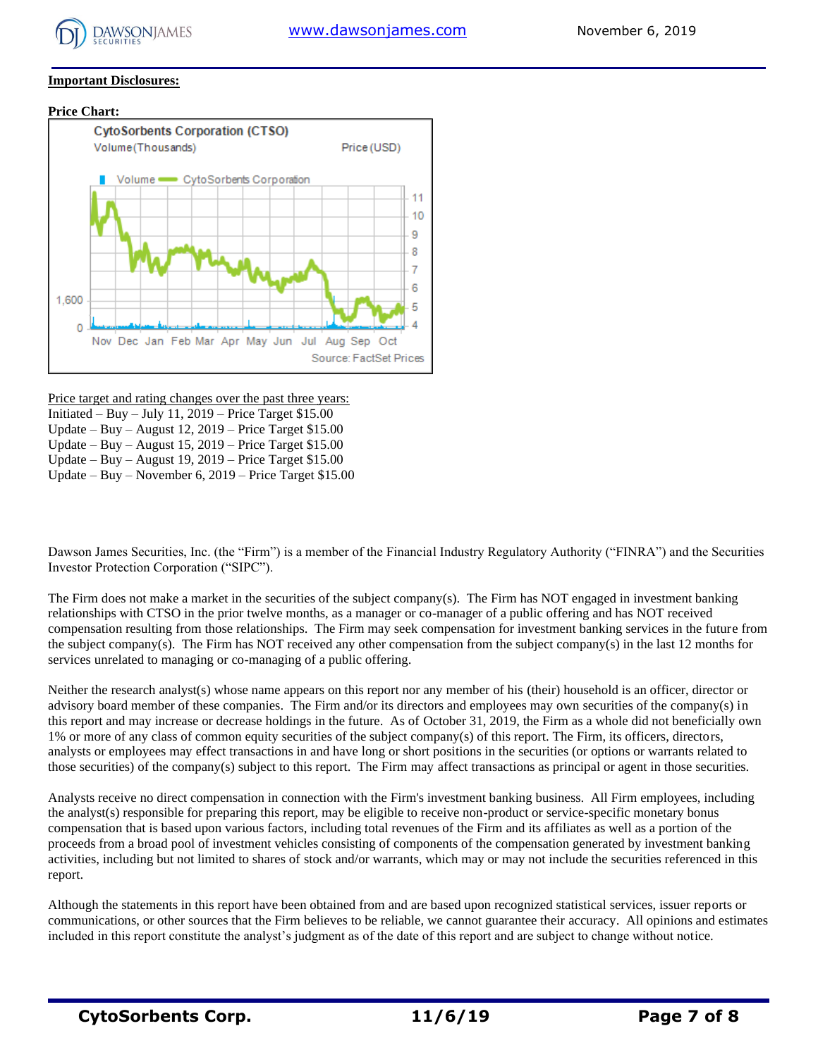

#### **Important Disclosures:**

#### **Price Chart:**



Price target and rating changes over the past three years: Initiated – Buy – July 11,  $2019$  – Price Target \$15.00 Update – Buy – August 12, 2019 – Price Target \$15.00 Update – Buy – August 15, 2019 – Price Target \$15.00 Update – Buy – August 19, 2019 – Price Target \$15.00

Update – Buy – November 6, 2019 – Price Target \$15.00

Dawson James Securities, Inc. (the "Firm") is a member of the Financial Industry Regulatory Authority ("FINRA") and the Securities Investor Protection Corporation ("SIPC").

The Firm does not make a market in the securities of the subject company(s). The Firm has NOT engaged in investment banking relationships with CTSO in the prior twelve months, as a manager or co-manager of a public offering and has NOT received compensation resulting from those relationships. The Firm may seek compensation for investment banking services in the future from the subject company(s). The Firm has NOT received any other compensation from the subject company(s) in the last 12 months for services unrelated to managing or co-managing of a public offering.

Neither the research analyst(s) whose name appears on this report nor any member of his (their) household is an officer, director or advisory board member of these companies. The Firm and/or its directors and employees may own securities of the company(s) in this report and may increase or decrease holdings in the future. As of October 31, 2019, the Firm as a whole did not beneficially own 1% or more of any class of common equity securities of the subject company(s) of this report. The Firm, its officers, directors, analysts or employees may effect transactions in and have long or short positions in the securities (or options or warrants related to those securities) of the company(s) subject to this report. The Firm may affect transactions as principal or agent in those securities.

Analysts receive no direct compensation in connection with the Firm's investment banking business. All Firm employees, including the analyst(s) responsible for preparing this report, may be eligible to receive non-product or service-specific monetary bonus compensation that is based upon various factors, including total revenues of the Firm and its affiliates as well as a portion of the proceeds from a broad pool of investment vehicles consisting of components of the compensation generated by investment banking activities, including but not limited to shares of stock and/or warrants, which may or may not include the securities referenced in this report.

Although the statements in this report have been obtained from and are based upon recognized statistical services, issuer reports or communications, or other sources that the Firm believes to be reliable, we cannot guarantee their accuracy. All opinions and estimates included in this report constitute the analyst's judgment as of the date of this report and are subject to change without notice.